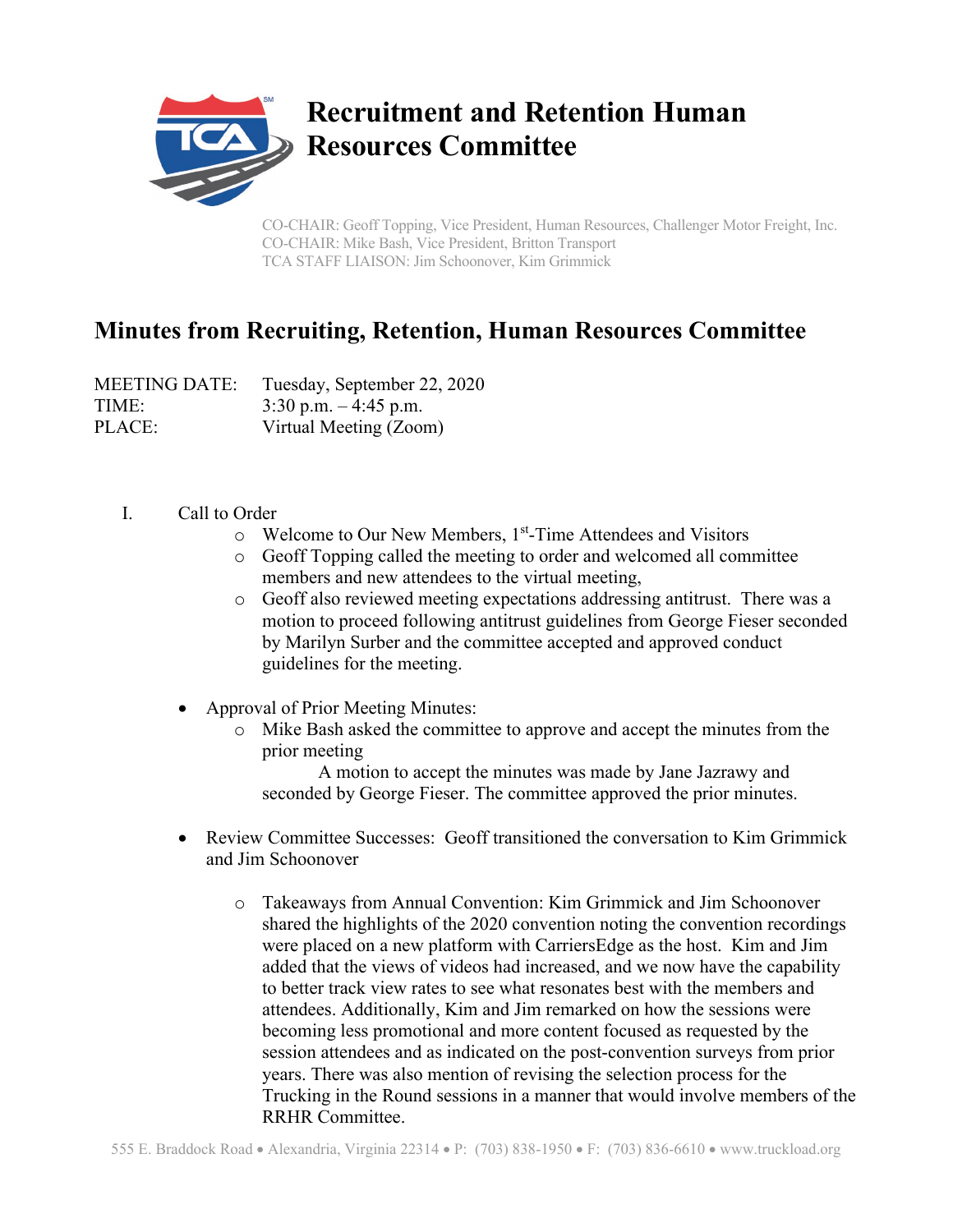

## **Recruitment and Retention Human Resources Committee**

CO-CHAIR: Geoff Topping, Vice President, Human Resources, Challenger Motor Freight, Inc. CO-CHAIR: Mike Bash, Vice President, Britton Transport TCA STAFF LIAISON: Jim Schoonover, Kim Grimmick

## **Minutes from Recruiting, Retention, Human Resources Committee**

| <b>MEETING DATE:</b> | Tuesday, September 22, 2020 |
|----------------------|-----------------------------|
| TIME:                | $3:30$ p.m. $-4:45$ p.m.    |
| PLACE:               | Virtual Meeting (Zoom)      |

- I. Call to Order
	- o Welcome to Our New Members, 1st-Time Attendees and Visitors
	- o Geoff Topping called the meeting to order and welcomed all committee members and new attendees to the virtual meeting,
	- o Geoff also reviewed meeting expectations addressing antitrust. There was a motion to proceed following antitrust guidelines from George Fieser seconded by Marilyn Surber and the committee accepted and approved conduct guidelines for the meeting.
	- Approval of Prior Meeting Minutes:
		- o Mike Bash asked the committee to approve and accept the minutes from the prior meeting

A motion to accept the minutes was made by Jane Jazrawy and seconded by George Fieser. The committee approved the prior minutes.

- Review Committee Successes: Geoff transitioned the conversation to Kim Grimmick and Jim Schoonover
	- o Takeaways from Annual Convention: Kim Grimmick and Jim Schoonover shared the highlights of the 2020 convention noting the convention recordings were placed on a new platform with CarriersEdge as the host. Kim and Jim added that the views of videos had increased, and we now have the capability to better track view rates to see what resonates best with the members and attendees. Additionally, Kim and Jim remarked on how the sessions were becoming less promotional and more content focused as requested by the session attendees and as indicated on the post-convention surveys from prior years. There was also mention of revising the selection process for the Trucking in the Round sessions in a manner that would involve members of the RRHR Committee.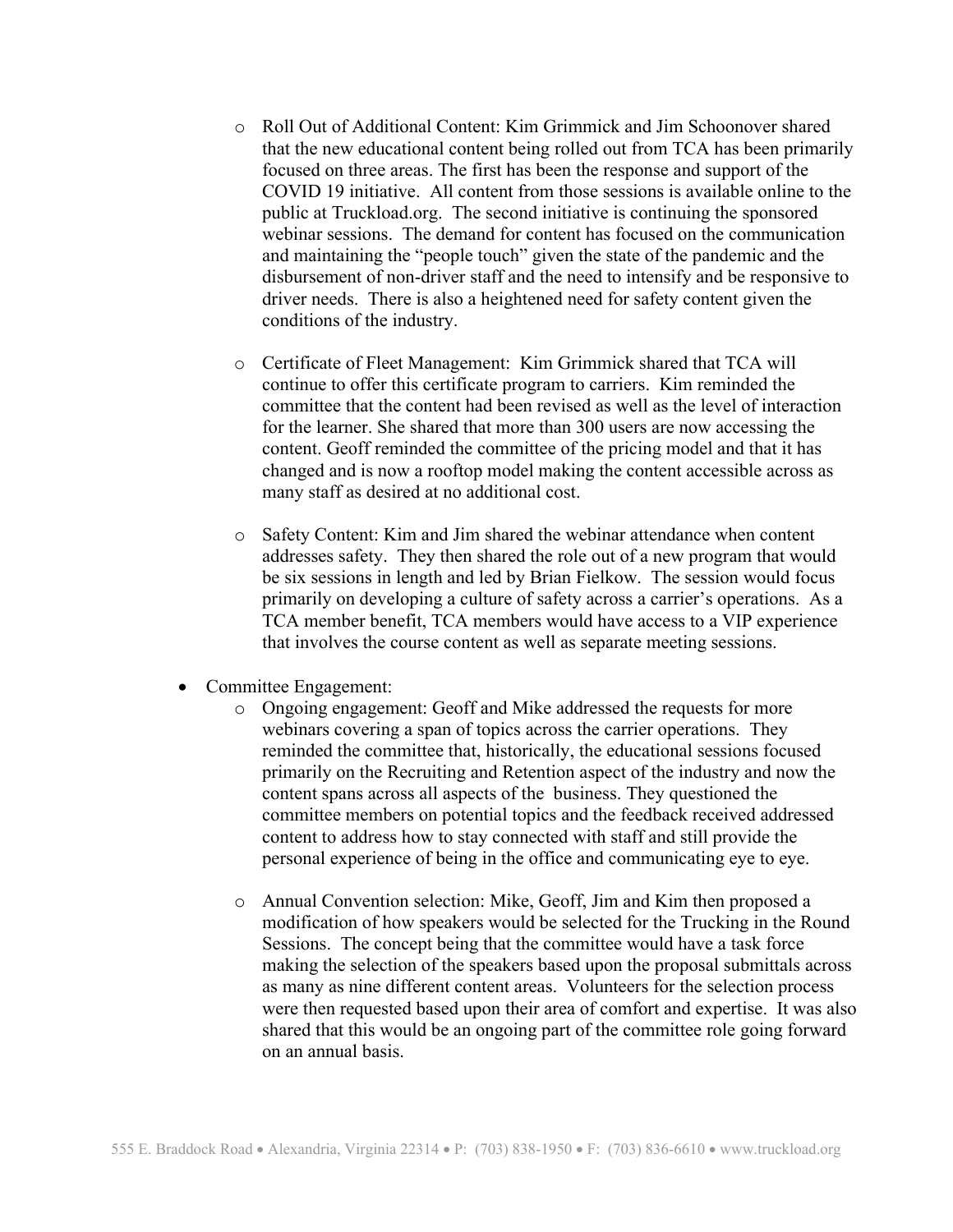- o Roll Out of Additional Content: Kim Grimmick and Jim Schoonover shared that the new educational content being rolled out from TCA has been primarily focused on three areas. The first has been the response and support of the COVID 19 initiative. All content from those sessions is available online to the public at Truckload.org. The second initiative is continuing the sponsored webinar sessions. The demand for content has focused on the communication and maintaining the "people touch" given the state of the pandemic and the disbursement of non-driver staff and the need to intensify and be responsive to driver needs. There is also a heightened need for safety content given the conditions of the industry.
- o Certificate of Fleet Management: Kim Grimmick shared that TCA will continue to offer this certificate program to carriers. Kim reminded the committee that the content had been revised as well as the level of interaction for the learner. She shared that more than 300 users are now accessing the content. Geoff reminded the committee of the pricing model and that it has changed and is now a rooftop model making the content accessible across as many staff as desired at no additional cost.
- o Safety Content: Kim and Jim shared the webinar attendance when content addresses safety. They then shared the role out of a new program that would be six sessions in length and led by Brian Fielkow. The session would focus primarily on developing a culture of safety across a carrier's operations. As a TCA member benefit, TCA members would have access to a VIP experience that involves the course content as well as separate meeting sessions.
- Committee Engagement:
	- o Ongoing engagement: Geoff and Mike addressed the requests for more webinars covering a span of topics across the carrier operations. They reminded the committee that, historically, the educational sessions focused primarily on the Recruiting and Retention aspect of the industry and now the content spans across all aspects of the business. They questioned the committee members on potential topics and the feedback received addressed content to address how to stay connected with staff and still provide the personal experience of being in the office and communicating eye to eye.
	- o Annual Convention selection: Mike, Geoff, Jim and Kim then proposed a modification of how speakers would be selected for the Trucking in the Round Sessions. The concept being that the committee would have a task force making the selection of the speakers based upon the proposal submittals across as many as nine different content areas. Volunteers for the selection process were then requested based upon their area of comfort and expertise. It was also shared that this would be an ongoing part of the committee role going forward on an annual basis.